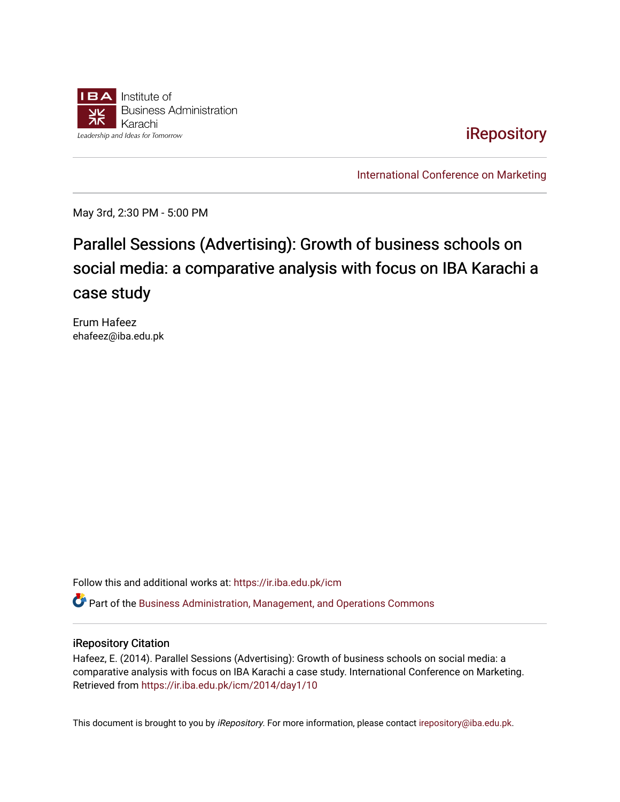

**iRepository** 

[International Conference on Marketing](https://ir.iba.edu.pk/icm) 

May 3rd, 2:30 PM - 5:00 PM

# Parallel Sessions (Advertising): Growth of business schools on social media: a comparative analysis with focus on IBA Karachi a case study

Erum Hafeez ehafeez@iba.edu.pk

Follow this and additional works at: [https://ir.iba.edu.pk/icm](https://ir.iba.edu.pk/icm?utm_source=ir.iba.edu.pk%2Ficm%2F2014%2Fday1%2F10&utm_medium=PDF&utm_campaign=PDFCoverPages) 

Part of the [Business Administration, Management, and Operations Commons](http://network.bepress.com/hgg/discipline/623?utm_source=ir.iba.edu.pk%2Ficm%2F2014%2Fday1%2F10&utm_medium=PDF&utm_campaign=PDFCoverPages)

#### iRepository Citation

Hafeez, E. (2014). Parallel Sessions (Advertising): Growth of business schools on social media: a comparative analysis with focus on IBA Karachi a case study. International Conference on Marketing. Retrieved from [https://ir.iba.edu.pk/icm/2014/day1/10](https://ir.iba.edu.pk/icm/2014/day1/10?utm_source=ir.iba.edu.pk%2Ficm%2F2014%2Fday1%2F10&utm_medium=PDF&utm_campaign=PDFCoverPages) 

This document is brought to you by iRepository. For more information, please contact [irepository@iba.edu.pk](mailto:irepository@iba.edu.pk).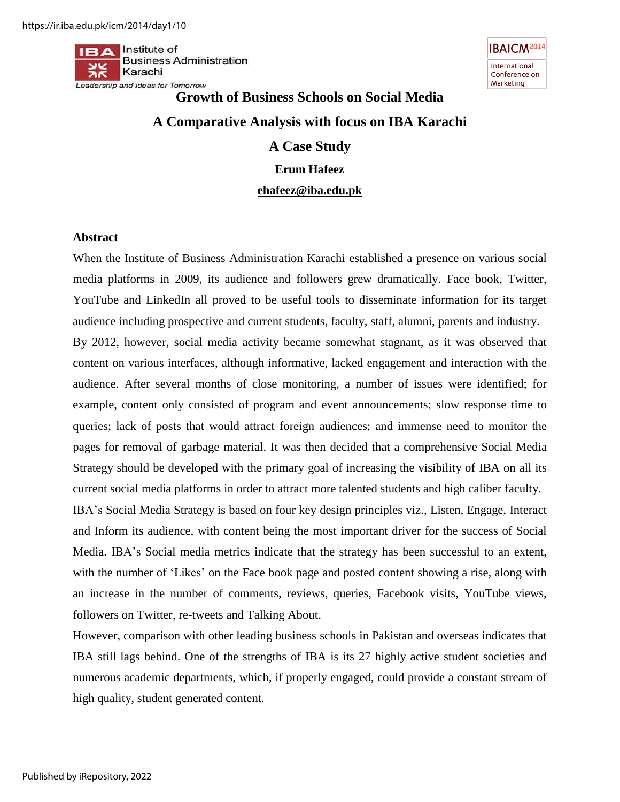$II \rightarrow A$  Institute of **Business Administration** Karachi Leadership and Ideas for Tomorrow



# **Growth of Business Schools on Social Media A Comparative Analysis with focus on IBA Karachi A Case Study Erum Hafeez [ehafeez@iba.edu.pk](mailto:ehafeez@iba.edu.pk)**

#### **Abstract**

When the Institute of Business Administration Karachi established a presence on various social media platforms in 2009, its audience and followers grew dramatically. Face book, Twitter, YouTube and LinkedIn all proved to be useful tools to disseminate information for its target audience including prospective and current students, faculty, staff, alumni, parents and industry.

By 2012, however, social media activity became somewhat stagnant, as it was observed that content on various interfaces, although informative, lacked engagement and interaction with the audience. After several months of close monitoring, a number of issues were identified; for example, content only consisted of program and event announcements; slow response time to queries; lack of posts that would attract foreign audiences; and immense need to monitor the pages for removal of garbage material. It was then decided that a comprehensive Social Media Strategy should be developed with the primary goal of increasing the visibility of IBA on all its current social media platforms in order to attract more talented students and high caliber faculty.

IBA"s Social Media Strategy is based on four key design principles viz., Listen, Engage, Interact and Inform its audience, with content being the most important driver for the success of Social Media. IBA"s Social media metrics indicate that the strategy has been successful to an extent, with the number of 'Likes' on the Face book page and posted content showing a rise, along with an increase in the number of comments, reviews, queries, Facebook visits, YouTube views, followers on Twitter, re-tweets and Talking About.

However, comparison with other leading business schools in Pakistan and overseas indicates that IBA still lags behind. One of the strengths of IBA is its 27 highly active student societies and numerous academic departments, which, if properly engaged, could provide a constant stream of high quality, student generated content.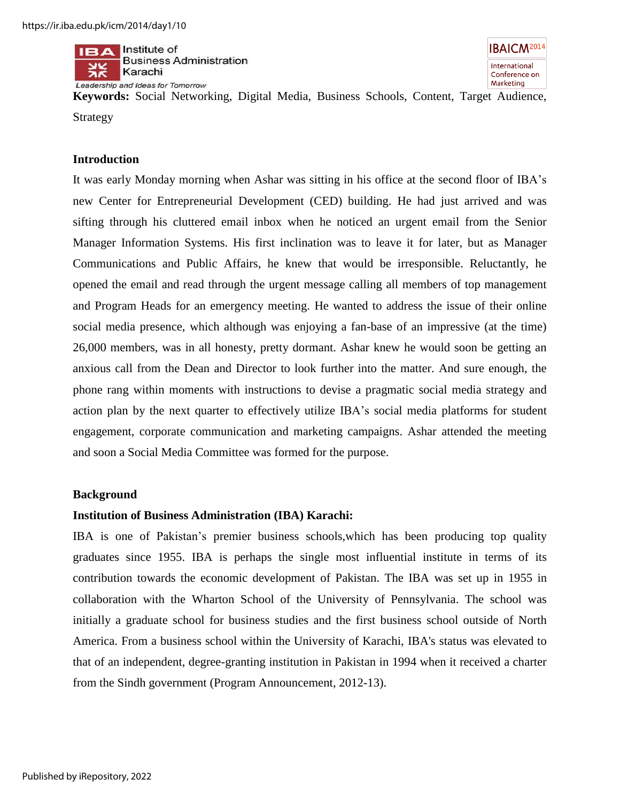

**Keywords:** Social Networking, Digital Media, Business Schools, Content, Target Audience, Strategy

#### **Introduction**

It was early Monday morning when Ashar was sitting in his office at the second floor of IBA"s new Center for Entrepreneurial Development (CED) building. He had just arrived and was sifting through his cluttered email inbox when he noticed an urgent email from the Senior Manager Information Systems. His first inclination was to leave it for later, but as Manager Communications and Public Affairs, he knew that would be irresponsible. Reluctantly, he opened the email and read through the urgent message calling all members of top management and Program Heads for an emergency meeting. He wanted to address the issue of their online social media presence, which although was enjoying a fan-base of an impressive (at the time) 26,000 members, was in all honesty, pretty dormant. Ashar knew he would soon be getting an anxious call from the Dean and Director to look further into the matter. And sure enough, the phone rang within moments with instructions to devise a pragmatic social media strategy and action plan by the next quarter to effectively utilize IBA"s social media platforms for student engagement, corporate communication and marketing campaigns. Ashar attended the meeting and soon a Social Media Committee was formed for the purpose.

#### **Background**

#### **Institution of Business Administration (IBA) Karachi:**

IBA is one of Pakistan"s premier business schools,which has been producing top quality graduates since 1955. IBA is perhaps the single most influential institute in terms of its contribution towards the economic development of Pakistan. The IBA was set up in 1955 in collaboration with the Wharton School of the University of Pennsylvania. The school was initially a graduate school for business studies and the first business school outside of North America. From a business school within the University of Karachi, IBA's status was elevated to that of an independent, degree-granting institution in Pakistan in 1994 when it received a charter from the Sindh government (Program Announcement, 2012-13).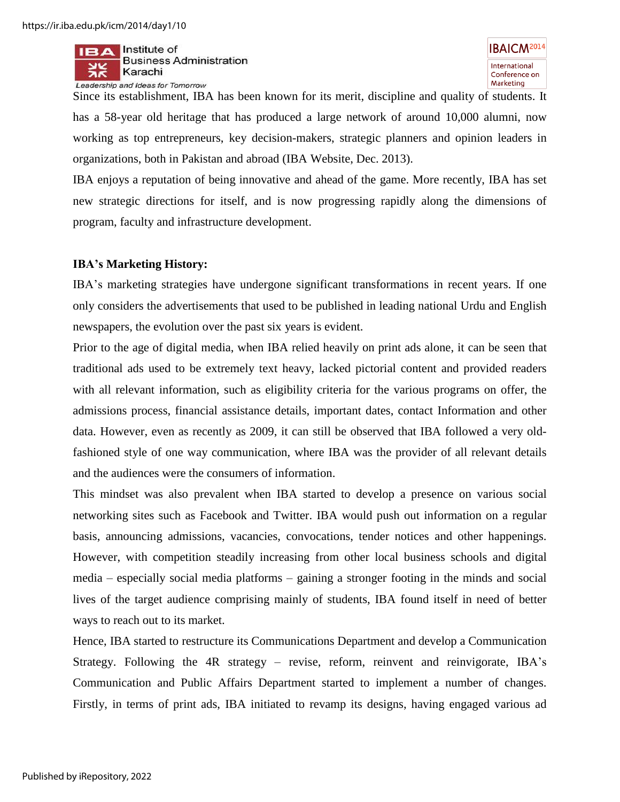

Since its establishment, IBA has been known for its merit, discipline and quality of students. It has a 58-year old heritage that has produced a large network of around 10,000 alumni, now working as top entrepreneurs, key decision-makers, strategic planners and opinion leaders in organizations, both in Pakistan and abroad (IBA Website, Dec. 2013).

IBA enjoys a reputation of being innovative and ahead of the game. More recently, IBA has set new strategic directions for itself, and is now progressing rapidly along the dimensions of program, faculty and infrastructure development.

#### **IBA's Marketing History:**

IBA"s marketing strategies have undergone significant transformations in recent years. If one only considers the advertisements that used to be published in leading national Urdu and English newspapers, the evolution over the past six years is evident.

Prior to the age of digital media, when IBA relied heavily on print ads alone, it can be seen that traditional ads used to be extremely text heavy, lacked pictorial content and provided readers with all relevant information, such as eligibility criteria for the various programs on offer, the admissions process, financial assistance details, important dates, contact Information and other data. However, even as recently as 2009, it can still be observed that IBA followed a very oldfashioned style of one way communication, where IBA was the provider of all relevant details and the audiences were the consumers of information.

This mindset was also prevalent when IBA started to develop a presence on various social networking sites such as Facebook and Twitter. IBA would push out information on a regular basis, announcing admissions, vacancies, convocations, tender notices and other happenings. However, with competition steadily increasing from other local business schools and digital media – especially social media platforms – gaining a stronger footing in the minds and social lives of the target audience comprising mainly of students, IBA found itself in need of better ways to reach out to its market.

Hence, IBA started to restructure its Communications Department and develop a Communication Strategy. Following the 4R strategy – revise, reform, reinvent and reinvigorate, IBA"s Communication and Public Affairs Department started to implement a number of changes. Firstly, in terms of print ads, IBA initiated to revamp its designs, having engaged various ad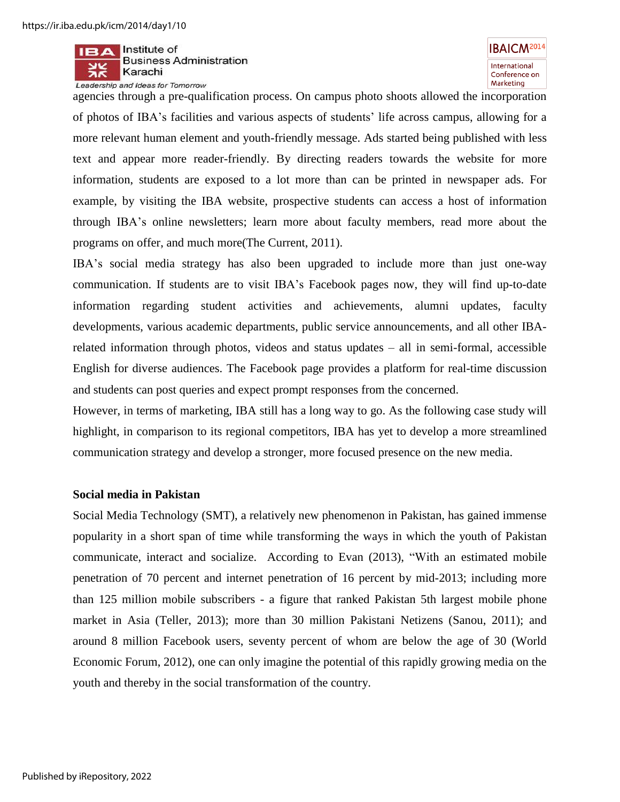

**IBAICM<sup>2014</sup>** International Conference on Marketing

agencies through a pre-qualification process. On campus photo shoots allowed the incorporation of photos of IBA"s facilities and various aspects of students" life across campus, allowing for a more relevant human element and youth-friendly message. Ads started being published with less text and appear more reader-friendly. By directing readers towards the website for more information, students are exposed to a lot more than can be printed in newspaper ads. For example, by visiting the IBA website, prospective students can access a host of information through IBA"s online newsletters; learn more about faculty members, read more about the programs on offer, and much more(The Current, 2011).

IBA"s social media strategy has also been upgraded to include more than just one-way communication. If students are to visit IBA"s Facebook pages now, they will find up-to-date information regarding student activities and achievements, alumni updates, faculty developments, various academic departments, public service announcements, and all other IBArelated information through photos, videos and status updates – all in semi-formal, accessible English for diverse audiences. The Facebook page provides a platform for real-time discussion and students can post queries and expect prompt responses from the concerned.

However, in terms of marketing, IBA still has a long way to go. As the following case study will highlight, in comparison to its regional competitors, IBA has yet to develop a more streamlined communication strategy and develop a stronger, more focused presence on the new media.

#### **Social media in Pakistan**

Social Media Technology (SMT), a relatively new phenomenon in Pakistan, has gained immense popularity in a short span of time while transforming the ways in which the youth of Pakistan communicate, interact and socialize. According to Evan (2013), "With an estimated mobile penetration of 70 percent and internet penetration of 16 percent by mid-2013; including more than 125 million mobile subscribers - a figure that ranked Pakistan 5th largest mobile phone market in Asia (Teller, 2013); more than 30 million Pakistani Netizens (Sanou, 2011); and around 8 million Facebook users, seventy percent of whom are below the age of 30 (World Economic Forum, 2012), one can only imagine the potential of this rapidly growing media on the youth and thereby in the social transformation of the country.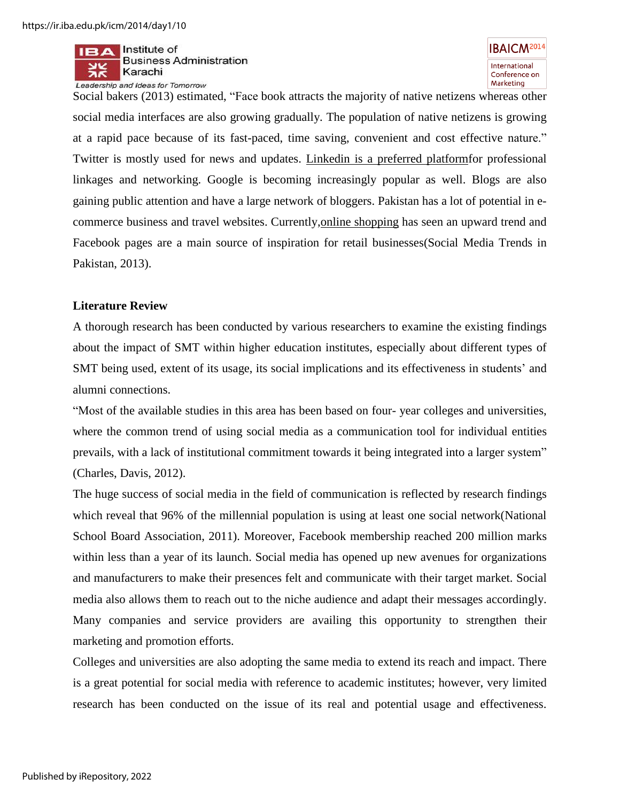



Social bakers (2013) estimated, "Face book attracts the majority of native netizens whereas other social media interfaces are also growing gradually. The population of native netizens is growing at a rapid pace because of its fast-paced, time saving, convenient and cost effective nature." Twitter is mostly used for news and updates. [Linkedin](http://www.linkedin.com/) is a preferred platformfor professional linkages and networking. Google is becoming increasingly popular as well. Blogs are also gaining public attention and have a large network of bloggers. Pakistan has a lot of potential in ecommerce business and travel websites. Currently[,online shopping](http://en.wikipedia.org/wiki/Online_shopping) has seen an upward trend and Facebook pages are a main source of inspiration for retail businesses(Social Media Trends in Pakistan, 2013).

#### **Literature Review**

A thorough research has been conducted by various researchers to examine the existing findings about the impact of SMT within higher education institutes, especially about different types of SMT being used, extent of its usage, its social implications and its effectiveness in students" and alumni connections.

"Most of the available studies in this area has been based on four- year colleges and universities, where the common trend of using social media as a communication tool for individual entities prevails, with a lack of institutional commitment towards it being integrated into a larger system" (Charles, Davis, 2012).

The huge success of social media in the field of communication is reflected by research findings which reveal that 96% of the millennial population is using at least one social network(National School Board Association, 2011). Moreover, Facebook membership reached 200 million marks within less than a year of its launch. Social media has opened up new avenues for organizations and manufacturers to make their presences felt and communicate with their target market. Social media also allows them to reach out to the niche audience and adapt their messages accordingly. Many companies and service providers are availing this opportunity to strengthen their marketing and promotion efforts.

Colleges and universities are also adopting the same media to extend its reach and impact. There is a great potential for social media with reference to academic institutes; however, very limited research has been conducted on the issue of its real and potential usage and effectiveness.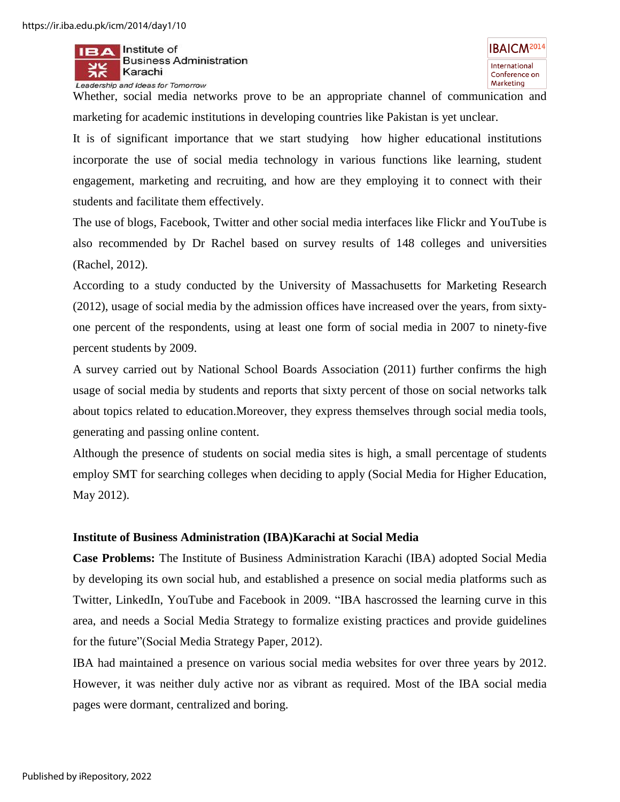

Whether, social media networks prove to be an appropriate channel of communication and marketing for academic institutions in developing countries like Pakistan is yet unclear.

It is of significant importance that we start studying how higher educational institutions incorporate the use of social media technology in various functions like learning, student engagement, marketing and recruiting, and how are they employing it to connect with their students and facilitate them effectively.

The use of blogs, Facebook, Twitter and other social media interfaces like Flickr and YouTube is also recommended by Dr Rachel based on survey results of 148 colleges and universities (Rachel, 2012).

According to a study conducted by the University of Massachusetts for Marketing Research (2012), usage of social media by the admission offices have increased over the years, from sixtyone percent of the respondents, using at least one form of social media in 2007 to ninety-five percent students by 2009.

A survey carried out by National School Boards Association (2011) further confirms the high usage of social media by students and reports that sixty percent of those on social networks talk about topics related to education.Moreover, they express themselves through social media tools, generating and passing online content.

Although the presence of students on social media sites is high, a small percentage of students employ SMT for searching colleges when deciding to apply (Social Media for Higher Education, May 2012).

#### **Institute of Business Administration (IBA)Karachi at Social Media**

**Case Problems:** The Institute of Business Administration Karachi (IBA) adopted Social Media by developing its own social hub, and established a presence on social media platforms such as Twitter, LinkedIn, YouTube and Facebook in 2009. "IBA hascrossed the learning curve in this area, and needs a Social Media Strategy to formalize existing practices and provide guidelines for the future"(Social Media Strategy Paper, 2012).

IBA had maintained a presence on various social media websites for over three years by 2012. However, it was neither duly active nor as vibrant as required. Most of the IBA social media pages were dormant, centralized and boring.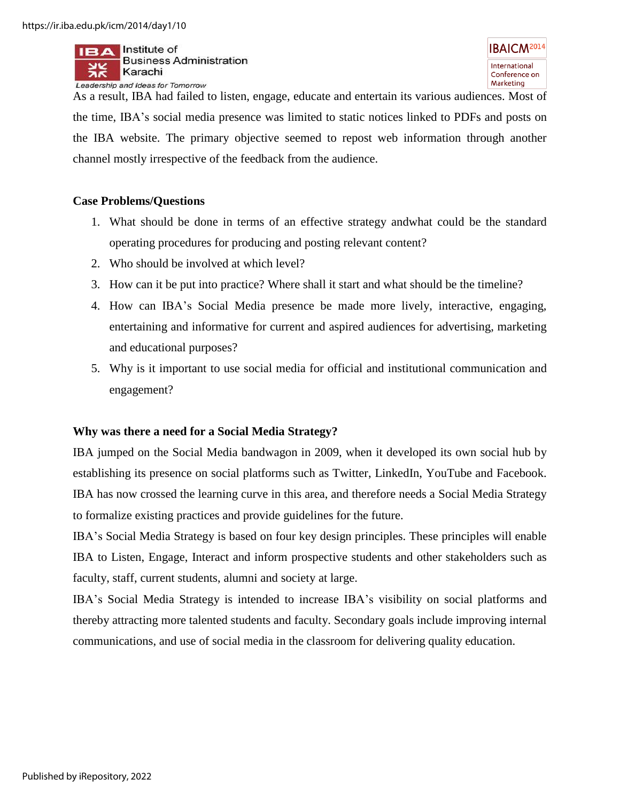

As a result, IBA had failed to listen, engage, educate and entertain its various audiences. Most of the time, IBA"s social media presence was limited to static notices linked to PDFs and posts on the IBA website. The primary objective seemed to repost web information through another channel mostly irrespective of the feedback from the audience.

#### **Case Problems/Questions**

- 1. What should be done in terms of an effective strategy andwhat could be the standard operating procedures for producing and posting relevant content?
- 2. Who should be involved at which level?
- 3. How can it be put into practice? Where shall it start and what should be the timeline?
- 4. How can IBA"s Social Media presence be made more lively, interactive, engaging, entertaining and informative for current and aspired audiences for advertising, marketing and educational purposes?
- 5. Why is it important to use social media for official and institutional communication and engagement?

# **Why was there a need for a Social Media Strategy?**

IBA jumped on the Social Media bandwagon in 2009, when it developed its own social hub by establishing its presence on social platforms such as Twitter, LinkedIn, YouTube and Facebook. IBA has now crossed the learning curve in this area, and therefore needs a Social Media Strategy to formalize existing practices and provide guidelines for the future.

IBA"s Social Media Strategy is based on four key design principles. These principles will enable IBA to Listen, Engage, Interact and inform prospective students and other stakeholders such as faculty, staff, current students, alumni and society at large.

IBA"s Social Media Strategy is intended to increase IBA"s visibility on social platforms and thereby attracting more talented students and faculty. Secondary goals include improving internal communications, and use of social media in the classroom for delivering quality education.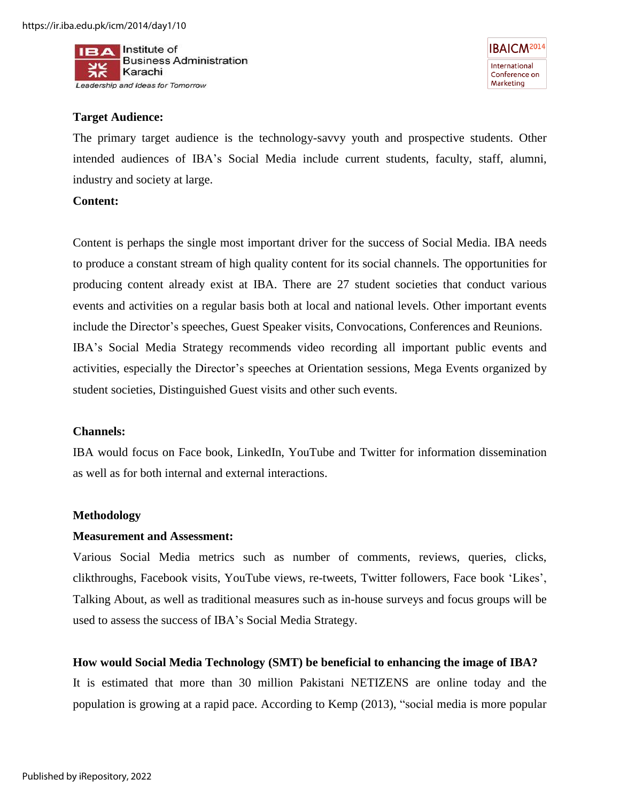

**IBAICM<sup>2014</sup>** International Conference on Marketing

#### **Target Audience:**

The primary target audience is the technology-savvy youth and prospective students. Other intended audiences of IBA"s Social Media include current students, faculty, staff, alumni, industry and society at large.

#### **Content:**

Content is perhaps the single most important driver for the success of Social Media. IBA needs to produce a constant stream of high quality content for its social channels. The opportunities for producing content already exist at IBA. There are 27 student societies that conduct various events and activities on a regular basis both at local and national levels. Other important events include the Director's speeches, Guest Speaker visits, Convocations, Conferences and Reunions. IBA"s Social Media Strategy recommends video recording all important public events and activities, especially the Director"s speeches at Orientation sessions, Mega Events organized by student societies, Distinguished Guest visits and other such events.

#### **Channels:**

IBA would focus on Face book, LinkedIn, YouTube and Twitter for information dissemination as well as for both internal and external interactions.

#### **Methodology**

#### **Measurement and Assessment:**

Various Social Media metrics such as number of comments, reviews, queries, clicks, clikthroughs, Facebook visits, YouTube views, re-tweets, Twitter followers, Face book "Likes", Talking About, as well as traditional measures such as in-house surveys and focus groups will be used to assess the success of IBA"s Social Media Strategy.

#### **How would Social Media Technology (SMT) be beneficial to enhancing the image of IBA?**

It is estimated that more than 30 million Pakistani NETIZENS are online today and the population is growing at a rapid pace. According to Kemp (2013), "social media is more popular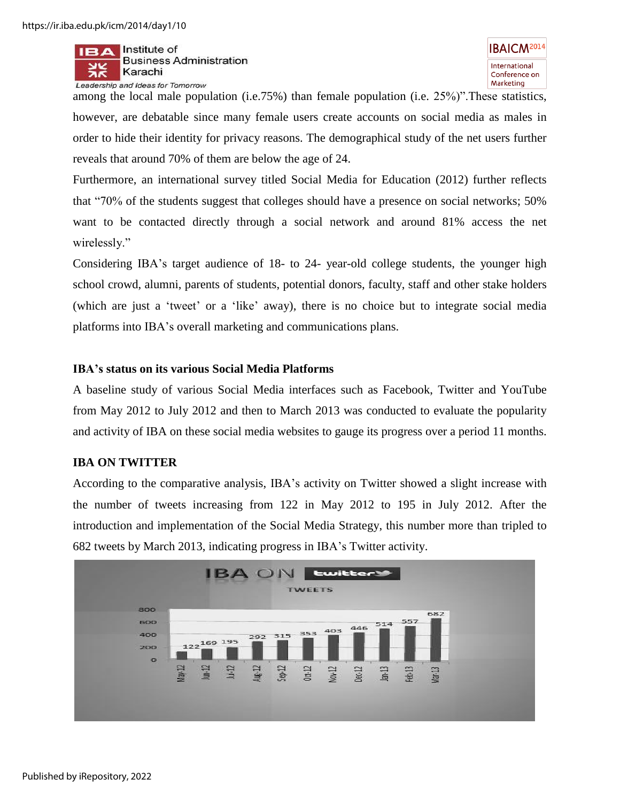

among the local male population (i.e.75%) than female population (i.e. 25%)".These statistics, however, are debatable since many female users create accounts on social media as males in order to hide their identity for privacy reasons. The demographical study of the net users further reveals that around 70% of them are below the age of 24.

Furthermore, an international survey titled Social Media for Education (2012) further reflects that "70% of the students suggest that colleges should have a presence on social networks; 50% want to be contacted directly through a social network and around 81% access the net wirelessly."

Considering IBA"s target audience of 18- to 24- year-old college students, the younger high school crowd, alumni, parents of students, potential donors, faculty, staff and other stake holders (which are just a 'tweet' or a 'like' away), there is no choice but to integrate social media platforms into IBA"s overall marketing and communications plans.

#### **IBA's status on its various Social Media Platforms**

A baseline study of various Social Media interfaces such as Facebook, Twitter and YouTube from May 2012 to July 2012 and then to March 2013 was conducted to evaluate the popularity and activity of IBA on these social media websites to gauge its progress over a period 11 months.

#### **IBA ON TWITTER**

According to the comparative analysis, IBA"s activity on Twitter showed a slight increase with the number of tweets increasing from 122 in May 2012 to 195 in July 2012. After the introduction and implementation of the Social Media Strategy, this number more than tripled to 682 tweets by March 2013, indicating progress in IBA"s Twitter activity.

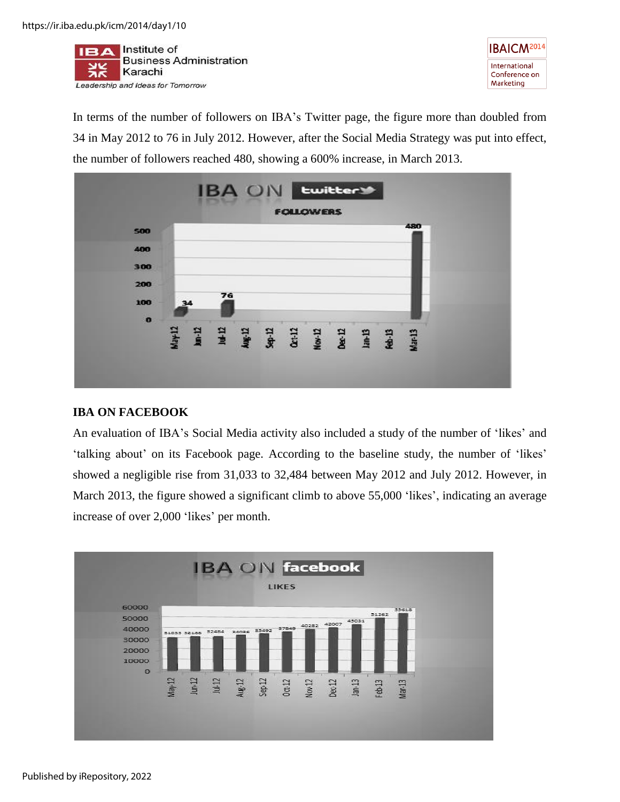



In terms of the number of followers on IBA's Twitter page, the figure more than doubled from 34 in May 2012 to 76 in July 2012. However, after the Social Media Strategy was put into effect, the number of followers reached 480, showing a 600% increase, in March 2013.



# **IBA ON FACEBOOK**

An evaluation of IBA"s Social Media activity also included a study of the number of "likes" and 'talking about' on its Facebook page. According to the baseline study, the number of 'likes' showed a negligible rise from 31,033 to 32,484 between May 2012 and July 2012. However, in March 2013, the figure showed a significant climb to above 55,000 'likes', indicating an average increase of over 2,000 'likes' per month.

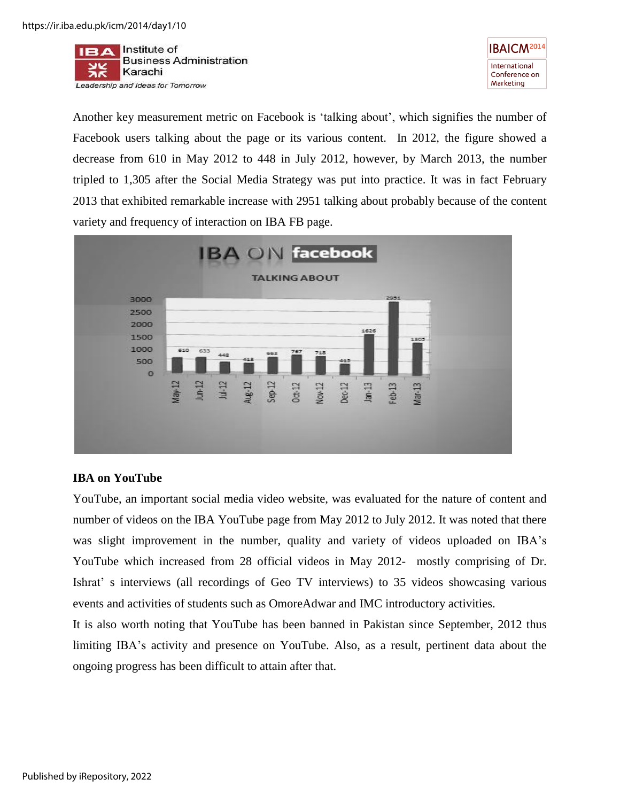



Another key measurement metric on Facebook is "talking about", which signifies the number of Facebook users talking about the page or its various content. In 2012, the figure showed a decrease from 610 in May 2012 to 448 in July 2012, however, by March 2013, the number tripled to 1,305 after the Social Media Strategy was put into practice. It was in fact February 2013 that exhibited remarkable increase with 2951 talking about probably because of the content variety and frequency of interaction on IBA FB page.



#### **IBA on YouTube**

YouTube, an important social media video website, was evaluated for the nature of content and number of videos on the IBA YouTube page from May 2012 to July 2012. It was noted that there was slight improvement in the number, quality and variety of videos uploaded on IBA"s YouTube which increased from 28 official videos in May 2012- mostly comprising of Dr. Ishrat" s interviews (all recordings of Geo TV interviews) to 35 videos showcasing various events and activities of students such as OmoreAdwar and IMC introductory activities.

It is also worth noting that YouTube has been banned in Pakistan since September, 2012 thus limiting IBA's activity and presence on YouTube. Also, as a result, pertinent data about the ongoing progress has been difficult to attain after that.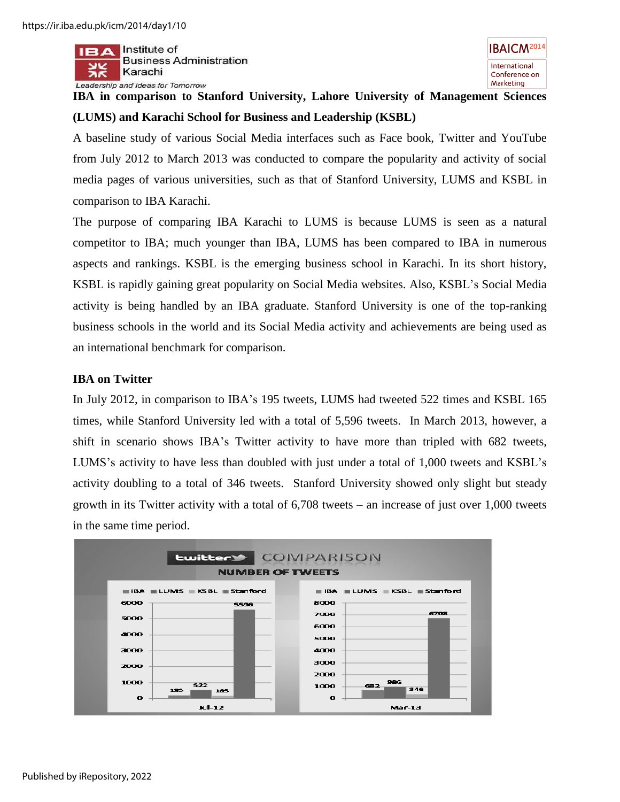

# **IBA in comparison to Stanford University, Lahore University of Management Sciences (LUMS) and Karachi School for Business and Leadership (KSBL)**

A baseline study of various Social Media interfaces such as Face book, Twitter and YouTube from July 2012 to March 2013 was conducted to compare the popularity and activity of social media pages of various universities, such as that of Stanford University, LUMS and KSBL in comparison to IBA Karachi.

The purpose of comparing IBA Karachi to LUMS is because LUMS is seen as a natural competitor to IBA; much younger than IBA, LUMS has been compared to IBA in numerous aspects and rankings. KSBL is the emerging business school in Karachi. In its short history, KSBL is rapidly gaining great popularity on Social Media websites. Also, KSBL"s Social Media activity is being handled by an IBA graduate. Stanford University is one of the top-ranking business schools in the world and its Social Media activity and achievements are being used as an international benchmark for comparison.

# **IBA on Twitter**

In July 2012, in comparison to IBA"s 195 tweets, LUMS had tweeted 522 times and KSBL 165 times, while Stanford University led with a total of 5,596 tweets. In March 2013, however, a shift in scenario shows IBA"s Twitter activity to have more than tripled with 682 tweets, LUMS's activity to have less than doubled with just under a total of 1,000 tweets and KSBL's activity doubling to a total of 346 tweets. Stanford University showed only slight but steady growth in its Twitter activity with a total of 6,708 tweets – an increase of just over 1,000 tweets in the same time period.

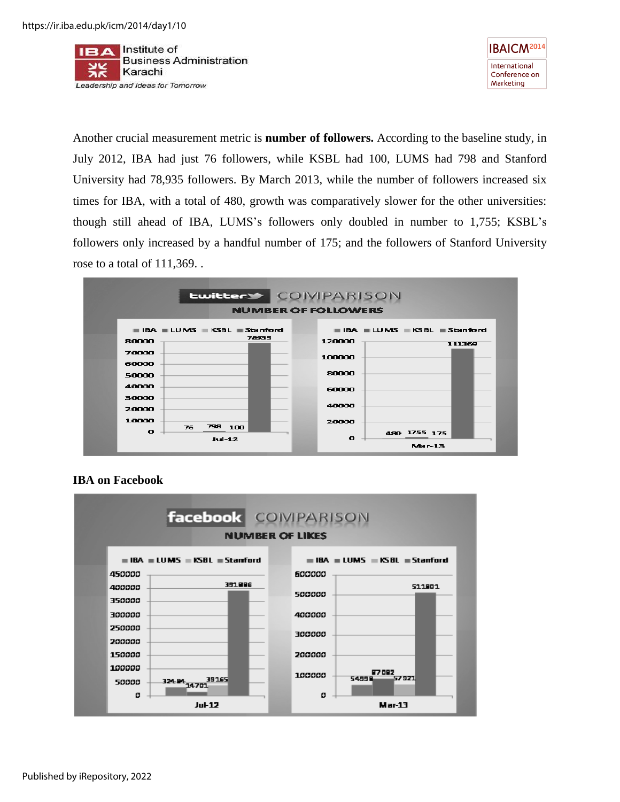



Another crucial measurement metric is **number of followers.** According to the baseline study, in July 2012, IBA had just 76 followers, while KSBL had 100, LUMS had 798 and Stanford University had 78,935 followers. By March 2013, while the number of followers increased six times for IBA, with a total of 480, growth was comparatively slower for the other universities: though still ahead of IBA, LUMS"s followers only doubled in number to 1,755; KSBL"s followers only increased by a handful number of 175; and the followers of Stanford University rose to a total of 111,369. .





# **IBA on Facebook**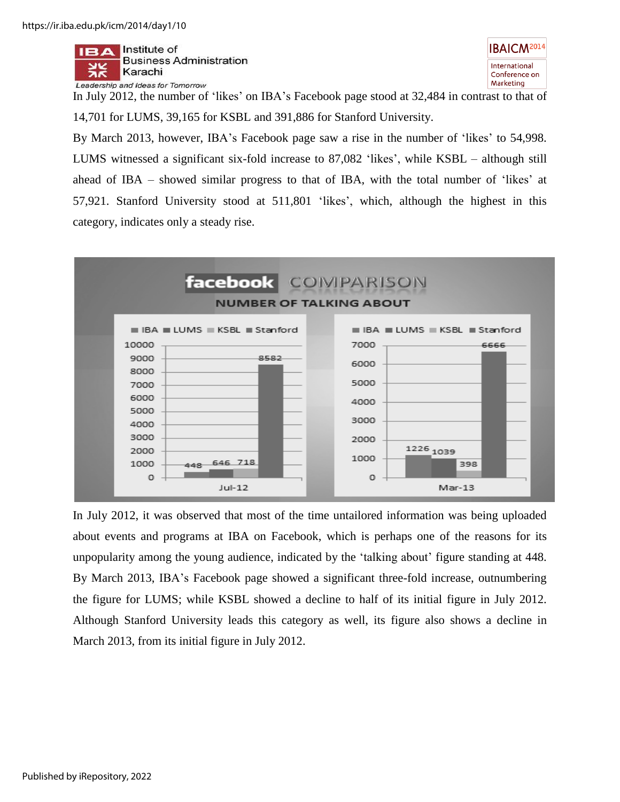



In July 2012, the number of "likes" on IBA"s Facebook page stood at 32,484 in contrast to that of 14,701 for LUMS, 39,165 for KSBL and 391,886 for Stanford University.

By March 2013, however, IBA"s Facebook page saw a rise in the number of "likes" to 54,998. LUMS witnessed a significant six-fold increase to 87,082 'likes', while KSBL – although still ahead of IBA – showed similar progress to that of IBA, with the total number of "likes" at 57,921. Stanford University stood at 511,801 "likes", which, although the highest in this category, indicates only a steady rise.



In July 2012, it was observed that most of the time untailored information was being uploaded about events and programs at IBA on Facebook, which is perhaps one of the reasons for its unpopularity among the young audience, indicated by the "talking about" figure standing at 448. By March 2013, IBA"s Facebook page showed a significant three-fold increase, outnumbering the figure for LUMS; while KSBL showed a decline to half of its initial figure in July 2012. Although Stanford University leads this category as well, its figure also shows a decline in March 2013, from its initial figure in July 2012.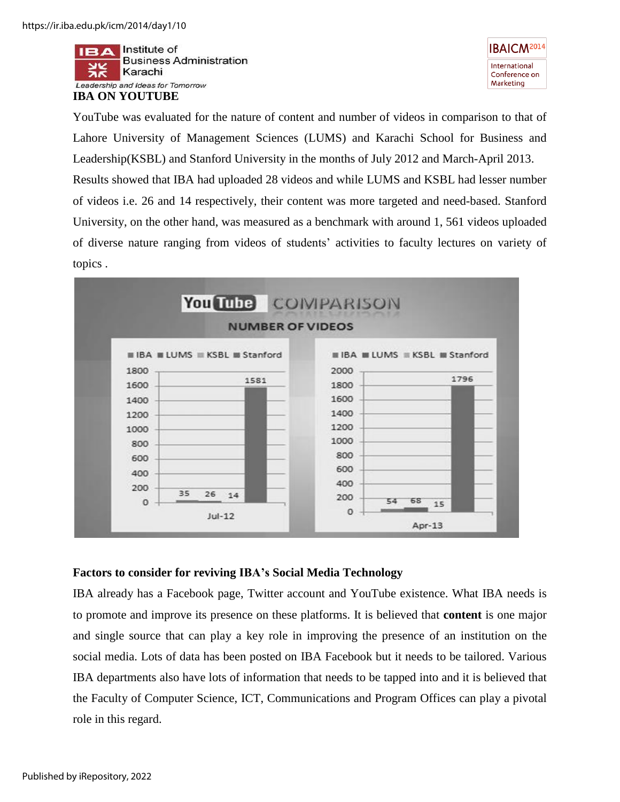Institute of **Business Administration** Karachi ЭΚ Leadership and Ideas for Tomorrow





YouTube was evaluated for the nature of content and number of videos in comparison to that of Lahore University of Management Sciences (LUMS) and Karachi School for Business and Leadership(KSBL) and Stanford University in the months of July 2012 and March-April 2013. Results showed that IBA had uploaded 28 videos and while LUMS and KSBL had lesser number of videos i.e. 26 and 14 respectively, their content was more targeted and need-based. Stanford University, on the other hand, was measured as a benchmark with around 1, 561 videos uploaded of diverse nature ranging from videos of students" activities to faculty lectures on variety of topics .



# **Factors to consider for reviving IBA's Social Media Technology**

IBA already has a Facebook page, Twitter account and YouTube existence. What IBA needs is to promote and improve its presence on these platforms. It is believed that **content** is one major and single source that can play a key role in improving the presence of an institution on the social media. Lots of data has been posted on IBA Facebook but it needs to be tailored. Various IBA departments also have lots of information that needs to be tapped into and it is believed that the Faculty of Computer Science, ICT, Communications and Program Offices can play a pivotal role in this regard.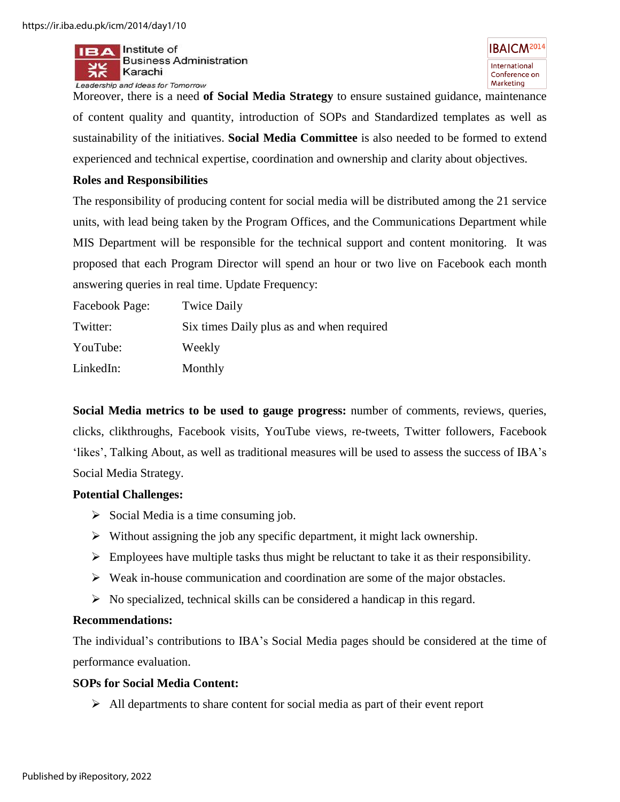

Moreover, there is a need **of Social Media Strategy** to ensure sustained guidance, maintenance of content quality and quantity, introduction of SOPs and Standardized templates as well as sustainability of the initiatives. **Social Media Committee** is also needed to be formed to extend experienced and technical expertise, coordination and ownership and clarity about objectives.

#### **Roles and Responsibilities**

The responsibility of producing content for social media will be distributed among the 21 service units, with lead being taken by the Program Offices, and the Communications Department while MIS Department will be responsible for the technical support and content monitoring. It was proposed that each Program Director will spend an hour or two live on Facebook each month answering queries in real time. Update Frequency:

| Facebook Page: | <b>Twice Daily</b>                        |
|----------------|-------------------------------------------|
| Twitter:       | Six times Daily plus as and when required |
| YouTube:       | Weekly                                    |
| LinkedIn:      | Monthly                                   |

**Social Media metrics to be used to gauge progress:** number of comments, reviews, queries, clicks, clikthroughs, Facebook visits, YouTube views, re-tweets, Twitter followers, Facebook "likes", Talking About, as well as traditional measures will be used to assess the success of IBA"s Social Media Strategy.

#### **Potential Challenges:**

- $\triangleright$  Social Media is a time consuming job.
- $\triangleright$  Without assigning the job any specific department, it might lack ownership.
- $\triangleright$  Employees have multiple tasks thus might be reluctant to take it as their responsibility.
- $\triangleright$  Weak in-house communication and coordination are some of the major obstacles.
- $\triangleright$  No specialized, technical skills can be considered a handicap in this regard.

# **Recommendations:**

The individual"s contributions to IBA"s Social Media pages should be considered at the time of performance evaluation.

# **SOPs for Social Media Content:**

 $\triangleright$  All departments to share content for social media as part of their event report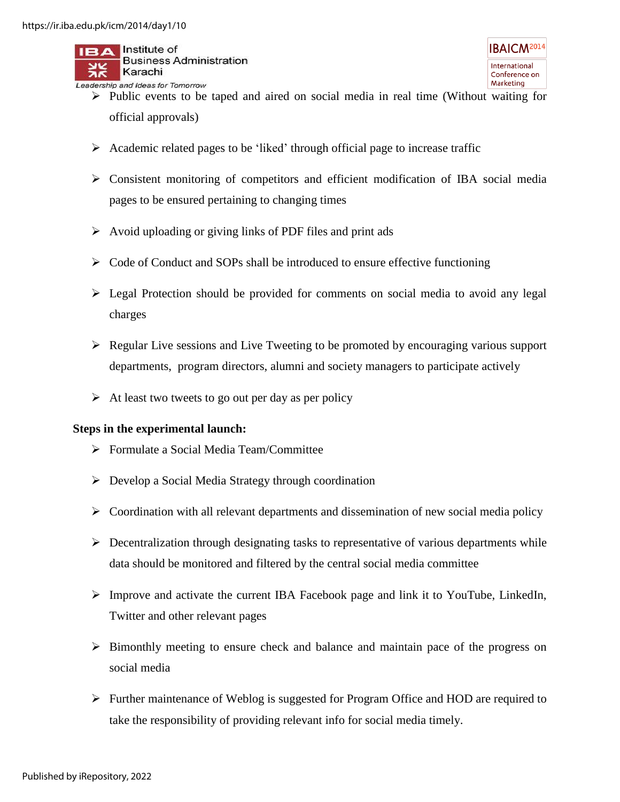$II \rightarrow A$  Institute of

Karachi Leadership and Ideas for Tomorrow

**Business Administration** 

- $\triangleright$  Public events to be taped and aired on social media in real time (Without waiting for official approvals)
- $\triangleright$  Academic related pages to be 'liked' through official page to increase traffic
- Consistent monitoring of competitors and efficient modification of IBA social media pages to be ensured pertaining to changing times
- $\triangleright$  Avoid uploading or giving links of PDF files and print ads
- $\triangleright$  Code of Conduct and SOPs shall be introduced to ensure effective functioning
- Legal Protection should be provided for comments on social media to avoid any legal charges
- $\triangleright$  Regular Live sessions and Live Tweeting to be promoted by encouraging various support departments, program directors, alumni and society managers to participate actively
- $\triangleright$  At least two tweets to go out per day as per policy

#### **Steps in the experimental launch:**

- Formulate a Social Media Team/Committee
- $\triangleright$  Develop a Social Media Strategy through coordination
- $\triangleright$  Coordination with all relevant departments and dissemination of new social media policy
- $\triangleright$  Decentralization through designating tasks to representative of various departments while data should be monitored and filtered by the central social media committee
- Improve and activate the current IBA Facebook page and link it to YouTube, LinkedIn, Twitter and other relevant pages
- $\triangleright$  Bimonthly meeting to ensure check and balance and maintain pace of the progress on social media
- Further maintenance of Weblog is suggested for Program Office and HOD are required to take the responsibility of providing relevant info for social media timely.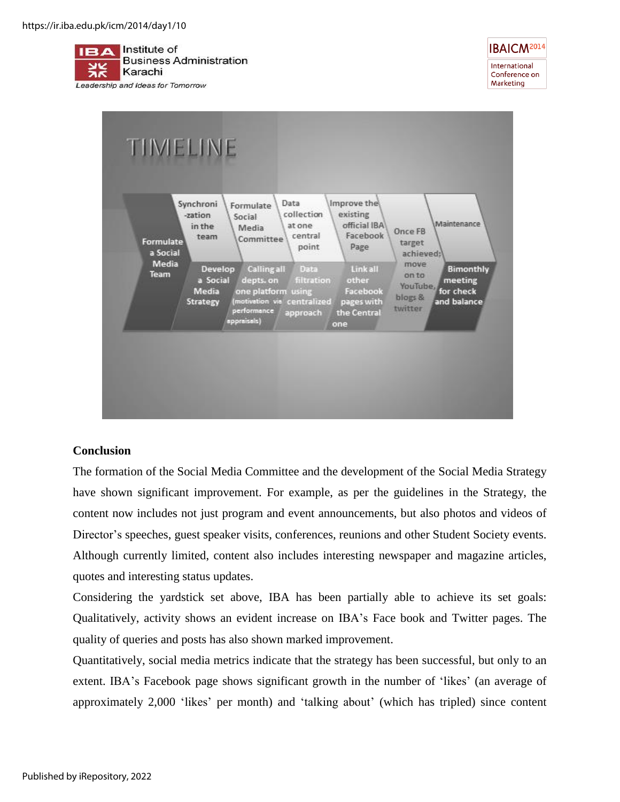



# **Conclusion**

The formation of the Social Media Committee and the development of the Social Media Strategy have shown significant improvement. For example, as per the guidelines in the Strategy, the content now includes not just program and event announcements, but also photos and videos of Director's speeches, guest speaker visits, conferences, reunions and other Student Society events. Although currently limited, content also includes interesting newspaper and magazine articles, quotes and interesting status updates.

Considering the yardstick set above, IBA has been partially able to achieve its set goals: Qualitatively, activity shows an evident increase on IBA"s Face book and Twitter pages. The quality of queries and posts has also shown marked improvement.

Quantitatively, social media metrics indicate that the strategy has been successful, but only to an extent. IBA's Facebook page shows significant growth in the number of 'likes' (an average of approximately 2,000 "likes" per month) and "talking about" (which has tripled) since content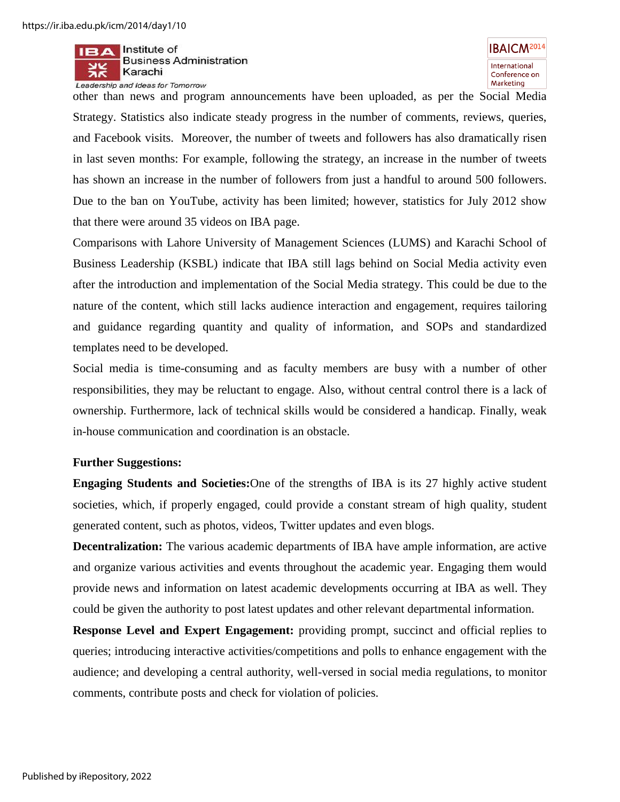

**IBAICM<sup>2014</sup>** International Conference on Marketing

other than news and program announcements have been uploaded, as per the Social Media Strategy. Statistics also indicate steady progress in the number of comments, reviews, queries, and Facebook visits. Moreover, the number of tweets and followers has also dramatically risen in last seven months: For example, following the strategy, an increase in the number of tweets has shown an increase in the number of followers from just a handful to around 500 followers. Due to the ban on YouTube, activity has been limited; however, statistics for July 2012 show that there were around 35 videos on IBA page.

Comparisons with Lahore University of Management Sciences (LUMS) and Karachi School of Business Leadership (KSBL) indicate that IBA still lags behind on Social Media activity even after the introduction and implementation of the Social Media strategy. This could be due to the nature of the content, which still lacks audience interaction and engagement, requires tailoring and guidance regarding quantity and quality of information, and SOPs and standardized templates need to be developed.

Social media is time-consuming and as faculty members are busy with a number of other responsibilities, they may be reluctant to engage. Also, without central control there is a lack of ownership. Furthermore, lack of technical skills would be considered a handicap. Finally, weak in-house communication and coordination is an obstacle.

#### **Further Suggestions:**

**Engaging Students and Societies:**One of the strengths of IBA is its 27 highly active student societies, which, if properly engaged, could provide a constant stream of high quality, student generated content, such as photos, videos, Twitter updates and even blogs.

**Decentralization:** The various academic departments of IBA have ample information, are active and organize various activities and events throughout the academic year. Engaging them would provide news and information on latest academic developments occurring at IBA as well. They could be given the authority to post latest updates and other relevant departmental information.

**Response Level and Expert Engagement:** providing prompt, succinct and official replies to queries; introducing interactive activities/competitions and polls to enhance engagement with the audience; and developing a central authority, well-versed in social media regulations, to monitor comments, contribute posts and check for violation of policies.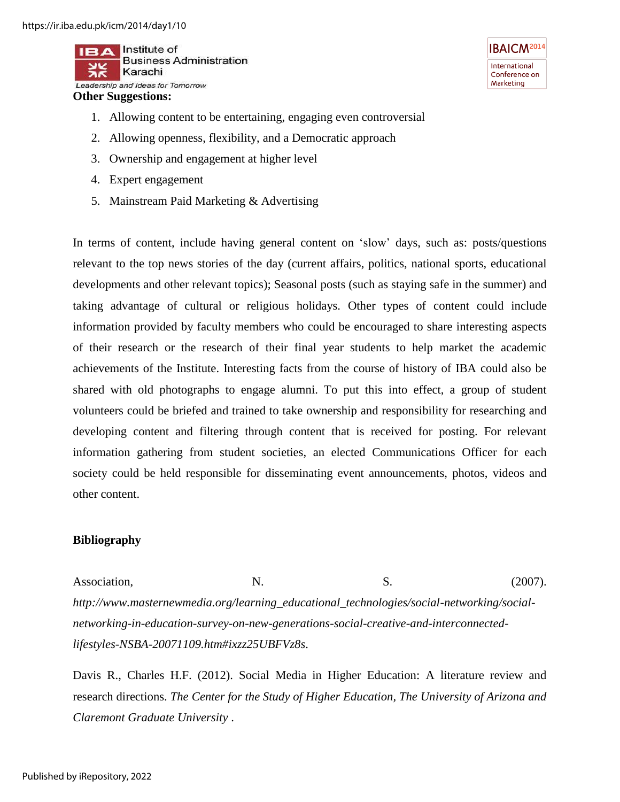Institute of **Business Administration** Karachi Leadership and Ideas for Tomorrow

#### **Other Suggestions:**

- 1. Allowing content to be entertaining, engaging even controversial
- 2. Allowing openness, flexibility, and a Democratic approach
- 3. Ownership and engagement at higher level
- 4. Expert engagement
- 5. Mainstream Paid Marketing & Advertising

**IBAICM<sup>2014</sup>** International Conference on Marketing

In terms of content, include having general content on "slow" days, such as: posts/questions relevant to the top news stories of the day (current affairs, politics, national sports, educational developments and other relevant topics); Seasonal posts (such as staying safe in the summer) and taking advantage of cultural or religious holidays. Other types of content could include information provided by faculty members who could be encouraged to share interesting aspects of their research or the research of their final year students to help market the academic achievements of the Institute. Interesting facts from the course of history of IBA could also be shared with old photographs to engage alumni. To put this into effect, a group of student volunteers could be briefed and trained to take ownership and responsibility for researching and developing content and filtering through content that is received for posting. For relevant information gathering from student societies, an elected Communications Officer for each society could be held responsible for disseminating event announcements, photos, videos and other content.

#### **Bibliography**

Association, N. S. (2007). *http://www.masternewmedia.org/learning\_educational\_technologies/social-networking/socialnetworking-in-education-survey-on-new-generations-social-creative-and-interconnectedlifestyles-NSBA-20071109.htm#ixzz25UBFVz8s*.

Davis R., Charles H.F. (2012). Social Media in Higher Education: A literature review and research directions. *The Center for the Study of Higher Education, The University of Arizona and Claremont Graduate University* .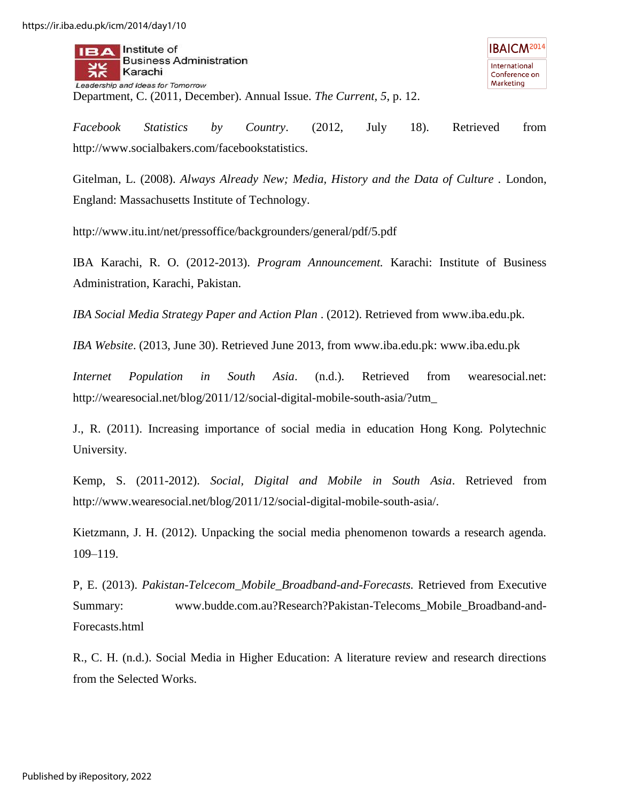Institute of **Business Administration** Karachi Leadership and Ideas for Tomorrow Department, C. (2011, December). Annual Issue. *The Current, 5*, p. 12.

*Facebook Statistics by Country*. (2012, July 18). Retrieved from http://www.socialbakers.com/facebookstatistics.

Gitelman, L. (2008). *Always Already New; Media, History and the Data of Culture .* London, England: Massachusetts Institute of Technology.

http://www.itu.int/net/pressoffice/backgrounders/general/pdf/5.pdf

IBA Karachi, R. O. (2012-2013). *Program Announcement.* Karachi: Institute of Business Administration, Karachi, Pakistan.

*IBA Social Media Strategy Paper and Action Plan* . (2012). Retrieved from www.iba.edu.pk.

*IBA Website*. (2013, June 30). Retrieved June 2013, from www.iba.edu.pk: www.iba.edu.pk

*Internet Population in South Asia*. (n.d.). Retrieved from wearesocial.net: http://wearesocial.net/blog/2011/12/social-digital-mobile-south-asia/?utm\_

J., R. (2011). Increasing importance of social media in education Hong Kong. Polytechnic University.

Kemp, S. (2011-2012). *Social, Digital and Mobile in South Asia*. Retrieved from http://www.wearesocial.net/blog/2011/12/social-digital-mobile-south-asia/.

Kietzmann, J. H. (2012). Unpacking the social media phenomenon towards a research agenda. 109–119.

P, E. (2013). *Pakistan-Telcecom\_Mobile\_Broadband-and-Forecasts.* Retrieved from Executive Summary: www.budde.com.au?Research?Pakistan-Telecoms\_Mobile\_Broadband-and-Forecasts.html

R., C. H. (n.d.). Social Media in Higher Education: A literature review and research directions from the Selected Works.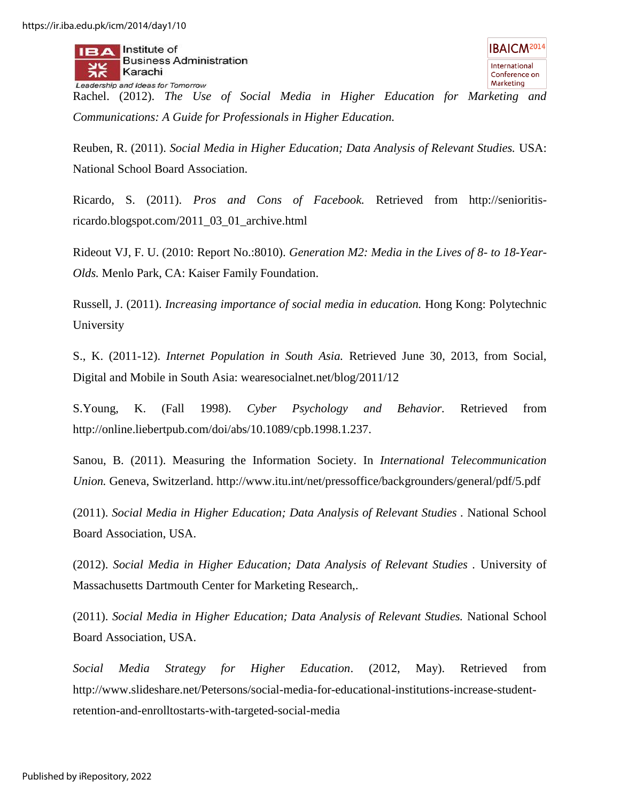Institute of

**Business Administration** 

Karachi Leadership and Ideas for Tomorrow Rachel. (2012). *The Use of Social Media in Higher Education for Marketing and Communications: A Guide for Professionals in Higher Education.*

Reuben, R. (2011). *Social Media in Higher Education; Data Analysis of Relevant Studies.* USA: National School Board Association.

Ricardo, S. (2011). *Pros and Cons of Facebook.* Retrieved from http://senioritisricardo.blogspot.com/2011\_03\_01\_archive.html

Rideout VJ, F. U. (2010: Report No.:8010). *Generation M2: Media in the Lives of 8- to 18-Year-Olds.* Menlo Park, CA: Kaiser Family Foundation.

Russell, J. (2011). *Increasing importance of social media in education.* Hong Kong: Polytechnic University

S., K. (2011-12). *Internet Population in South Asia.* Retrieved June 30, 2013, from Social, Digital and Mobile in South Asia: wearesocialnet.net/blog/2011/12

S.Young, K. (Fall 1998). *Cyber Psychology and Behavior.* Retrieved from http://online.liebertpub.com/doi/abs/10.1089/cpb.1998.1.237.

Sanou, B. (2011). Measuring the Information Society. In *International Telecommunication Union.* Geneva, Switzerland. http://www.itu.int/net/pressoffice/backgrounders/general/pdf/5.pdf

(2011). *Social Media in Higher Education; Data Analysis of Relevant Studies .* National School Board Association, USA.

(2012). *Social Media in Higher Education; Data Analysis of Relevant Studies .* University of Massachusetts Dartmouth Center for Marketing Research,.

(2011). *Social Media in Higher Education; Data Analysis of Relevant Studies.* National School Board Association, USA.

*Social Media Strategy for Higher Education*. (2012, May). Retrieved from http://www.slideshare.net/Petersons/social-media-for-educational-institutions-increase-studentretention-and-enrolltostarts-with-targeted-social-media